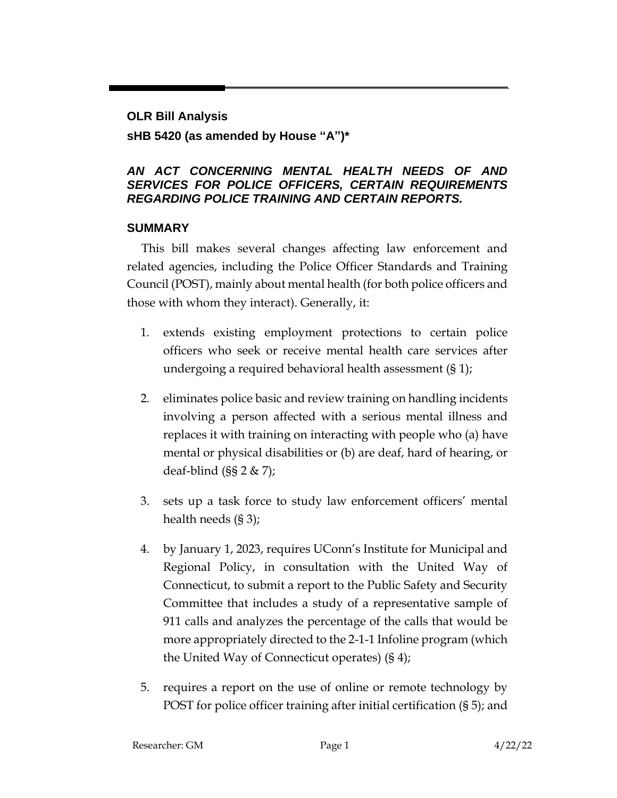#### **OLR Bill Analysis**

### **sHB 5420 (as amended by House "A")\***

#### *AN ACT CONCERNING MENTAL HEALTH NEEDS OF AND SERVICES FOR POLICE OFFICERS, CERTAIN REQUIREMENTS REGARDING POLICE TRAINING AND CERTAIN REPORTS.*

### **SUMMARY**

This bill makes several changes affecting law enforcement and related agencies, including the Police Officer Standards and Training Council (POST), mainly about mental health (for both police officers and those with whom they interact). Generally, it:

- 1. extends existing employment protections to certain police officers who seek or receive mental health care services after undergoing a required behavioral health assessment (§ 1);
- 2. eliminates police basic and review training on handling incidents involving a person affected with a serious mental illness and replaces it with training on interacting with people who (a) have mental or physical disabilities or (b) are deaf, hard of hearing, or deaf-blind  $(SS 2 & | Z \rangle)$ ;
- 3. sets up a task force to study law enforcement officers' mental health needs (§ 3);
- 4. by January 1, 2023, requires UConn's Institute for Municipal and Regional Policy, in consultation with the United Way of Connecticut, to submit a report to the Public Safety and Security Committee that includes a study of a representative sample of 911 calls and analyzes the percentage of the calls that would be more appropriately directed to the 2-1-1 Infoline program (which the United Way of Connecticut operates) (§ 4);
- 5. requires a report on the use of online or remote technology by POST for police officer training after initial certification (§ 5); and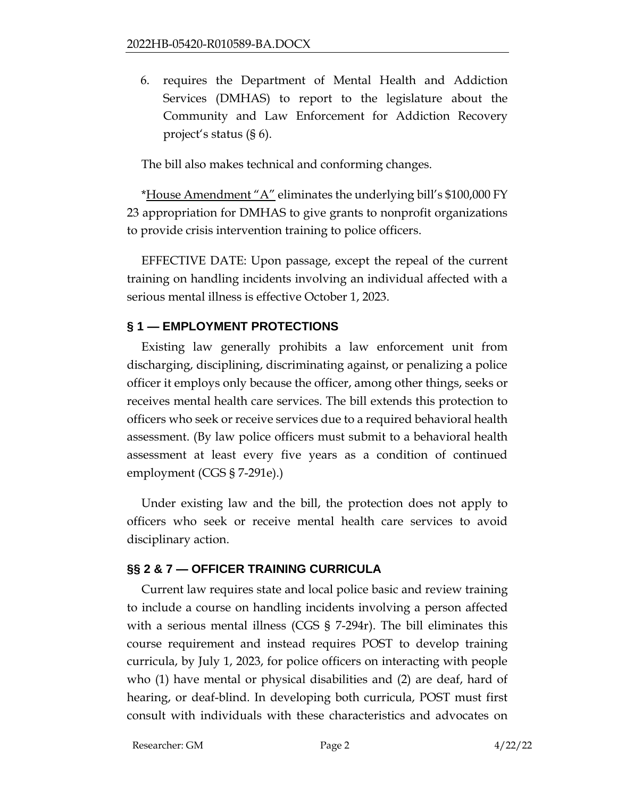6. requires the Department of Mental Health and Addiction Services (DMHAS) to report to the legislature about the Community and Law Enforcement for Addiction Recovery project's status (§ 6).

The bill also makes technical and conforming changes.

\*House Amendment "A" eliminates the underlying bill's \$100,000 FY 23 appropriation for DMHAS to give grants to nonprofit organizations to provide crisis intervention training to police officers.

EFFECTIVE DATE: Upon passage, except the repeal of the current training on handling incidents involving an individual affected with a serious mental illness is effective October 1, 2023.

## **§ 1 — EMPLOYMENT PROTECTIONS**

Existing law generally prohibits a law enforcement unit from discharging, disciplining, discriminating against, or penalizing a police officer it employs only because the officer, among other things, seeks or receives mental health care services. The bill extends this protection to officers who seek or receive services due to a required behavioral health assessment. (By law police officers must submit to a behavioral health assessment at least every five years as a condition of continued employment (CGS § 7-291e).)

Under existing law and the bill, the protection does not apply to officers who seek or receive mental health care services to avoid disciplinary action.

### **§§ 2 & 7 — OFFICER TRAINING CURRICULA**

Current law requires state and local police basic and review training to include a course on handling incidents involving a person affected with a serious mental illness (CGS § 7-294r). The bill eliminates this course requirement and instead requires POST to develop training curricula, by July 1, 2023, for police officers on interacting with people who (1) have mental or physical disabilities and (2) are deaf, hard of hearing, or deaf-blind. In developing both curricula, POST must first consult with individuals with these characteristics and advocates on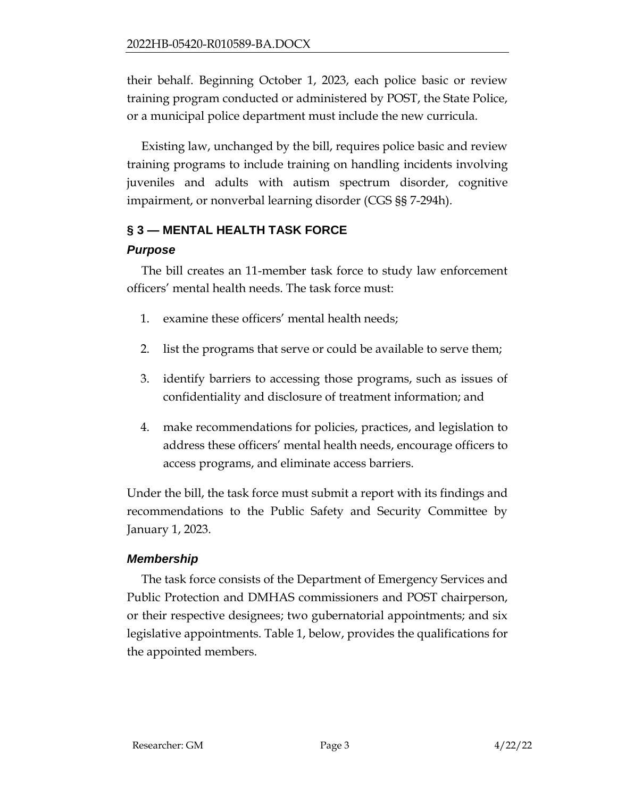their behalf. Beginning October 1, 2023, each police basic or review training program conducted or administered by POST, the State Police, or a municipal police department must include the new curricula.

Existing law, unchanged by the bill, requires police basic and review training programs to include training on handling incidents involving juveniles and adults with autism spectrum disorder, cognitive impairment, or nonverbal learning disorder (CGS §§ 7-294h).

## **§ 3 — MENTAL HEALTH TASK FORCE**

## *Purpose*

The bill creates an 11-member task force to study law enforcement officers' mental health needs. The task force must:

- 1. examine these officers' mental health needs;
- 2. list the programs that serve or could be available to serve them;
- 3. identify barriers to accessing those programs, such as issues of confidentiality and disclosure of treatment information; and
- 4. make recommendations for policies, practices, and legislation to address these officers' mental health needs, encourage officers to access programs, and eliminate access barriers.

Under the bill, the task force must submit a report with its findings and recommendations to the Public Safety and Security Committee by January 1, 2023.

## *Membership*

The task force consists of the Department of Emergency Services and Public Protection and DMHAS commissioners and POST chairperson, or their respective designees; two gubernatorial appointments; and six legislative appointments. Table 1, below, provides the qualifications for the appointed members.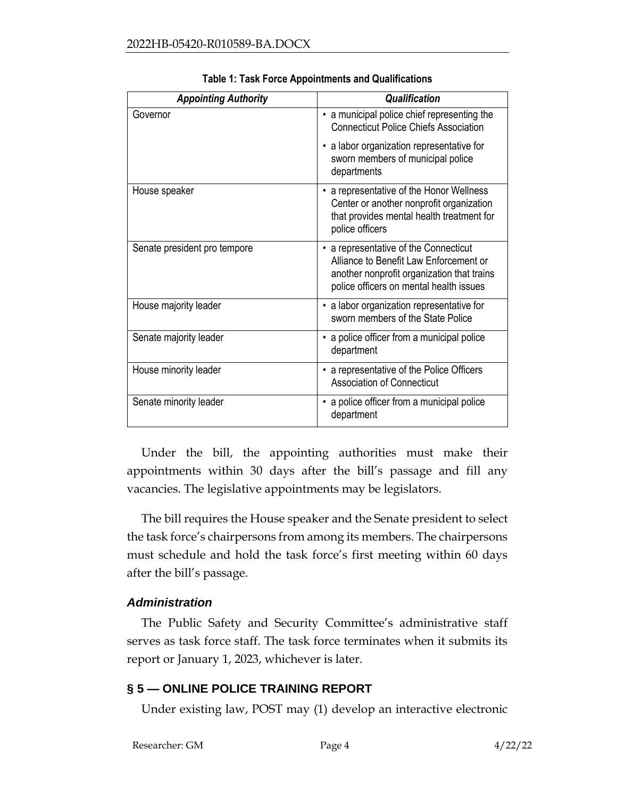| <b>Appointing Authority</b>  | <b>Qualification</b>                                                                                                                                                                |
|------------------------------|-------------------------------------------------------------------------------------------------------------------------------------------------------------------------------------|
| Governor                     | • a municipal police chief representing the<br><b>Connecticut Police Chiefs Association</b>                                                                                         |
|                              | a labor organization representative for<br>sworn members of municipal police<br>departments                                                                                         |
| House speaker                | a representative of the Honor Wellness<br>Center or another nonprofit organization<br>that provides mental health treatment for<br>police officers                                  |
| Senate president pro tempore | a representative of the Connecticut<br>$\bullet$<br>Alliance to Benefit Law Enforcement or<br>another nonprofit organization that trains<br>police officers on mental health issues |
| House majority leader        | • a labor organization representative for<br>sworn members of the State Police                                                                                                      |
| Senate majority leader       | a police officer from a municipal police<br>department                                                                                                                              |
| House minority leader        | • a representative of the Police Officers<br><b>Association of Connecticut</b>                                                                                                      |
| Senate minority leader       | a police officer from a municipal police<br>department                                                                                                                              |

**Table 1: Task Force Appointments and Qualifications**

Under the bill, the appointing authorities must make their appointments within 30 days after the bill's passage and fill any vacancies. The legislative appointments may be legislators.

The bill requires the House speaker and the Senate president to select the task force's chairpersons from among its members. The chairpersons must schedule and hold the task force's first meeting within 60 days after the bill's passage.

### *Administration*

The Public Safety and Security Committee's administrative staff serves as task force staff. The task force terminates when it submits its report or January 1, 2023, whichever is later.

### **§ 5 — ONLINE POLICE TRAINING REPORT**

Under existing law, POST may (1) develop an interactive electronic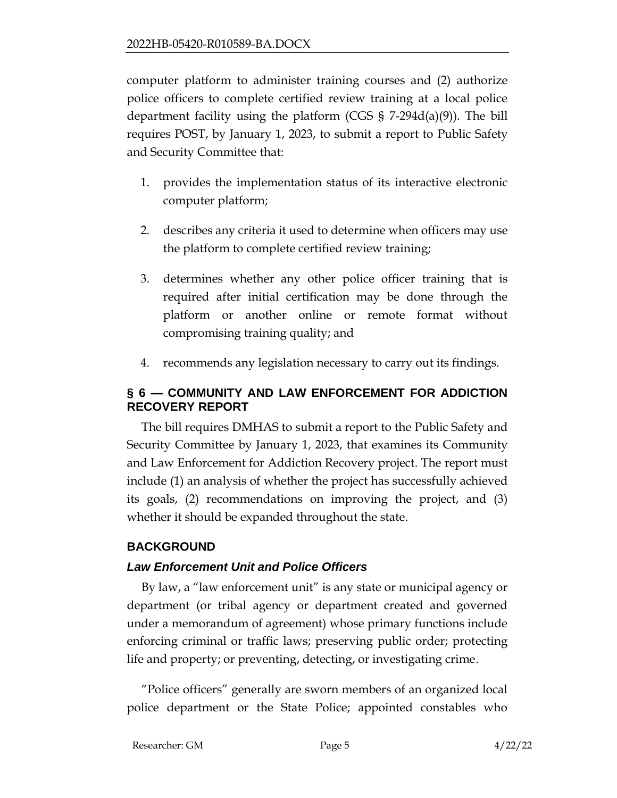computer platform to administer training courses and (2) authorize police officers to complete certified review training at a local police department facility using the platform (CGS § 7-294d(a)(9)). The bill requires POST, by January 1, 2023, to submit a report to Public Safety and Security Committee that:

- 1. provides the implementation status of its interactive electronic computer platform;
- 2. describes any criteria it used to determine when officers may use the platform to complete certified review training;
- 3. determines whether any other police officer training that is required after initial certification may be done through the platform or another online or remote format without compromising training quality; and
- 4. recommends any legislation necessary to carry out its findings.

## **§ 6 — COMMUNITY AND LAW ENFORCEMENT FOR ADDICTION RECOVERY REPORT**

The bill requires DMHAS to submit a report to the Public Safety and Security Committee by January 1, 2023, that examines its Community and Law Enforcement for Addiction Recovery project. The report must include (1) an analysis of whether the project has successfully achieved its goals, (2) recommendations on improving the project, and (3) whether it should be expanded throughout the state.

# **BACKGROUND**

## *Law Enforcement Unit and Police Officers*

By law, a "law enforcement unit" is any state or municipal agency or department (or tribal agency or department created and governed under a memorandum of agreement) whose primary functions include enforcing criminal or traffic laws; preserving public order; protecting life and property; or preventing, detecting, or investigating crime.

"Police officers" generally are sworn members of an organized local police department or the State Police; appointed constables who